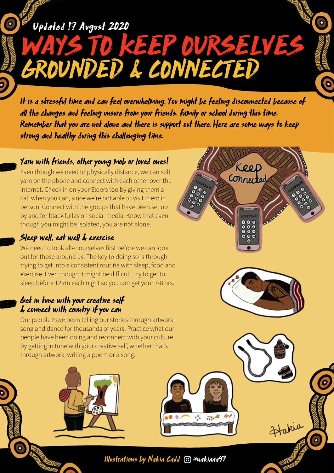# Updated 17 August 2020

WAYS TO KEEP OURSELVES GROUNDED & CONNECTED

It is a stressful time and can feel overwhelming. You might be feeling disconnected because of all the changes and feeling unsure from your friends, family or school during this time. Remember that you are not alone and there is support out there. Here are some ways to keep strong and healthy during this challenging time.

Keep

Connected

Hakia

### Yarn with friends, other young mob or loved ones!

Even though we need to physically distance, we can still yarn on the phone and connect with each other over the internet. Check in on your Elders too by giving them a call when you can, since we're not able to visit them in person. Connect with the groups that have been set up by and for black fullas on social media. Know that even though you might be isolated, you are not alone.

### Sleep well, eat well & exercise

We need to look after ourselves first before we can look out for those around us. The key to doing so is through trying to get into a consistent routine with sleep, food and exercise. Even though it might be difficult, try to get to sleep before 12am each night so you can get your 7-8 hrs.

#### Get in tune with your creative self & connect with country if you can

Our people have been telling our stories through artwork, song and dance for thousands of years. Practice what our people have been doing and reconnect with your culture by getting in tune with your creative self, whether that's through artwork, writing a poem or a song.





Illustrations by Nakia Cadd @nakiaaa97